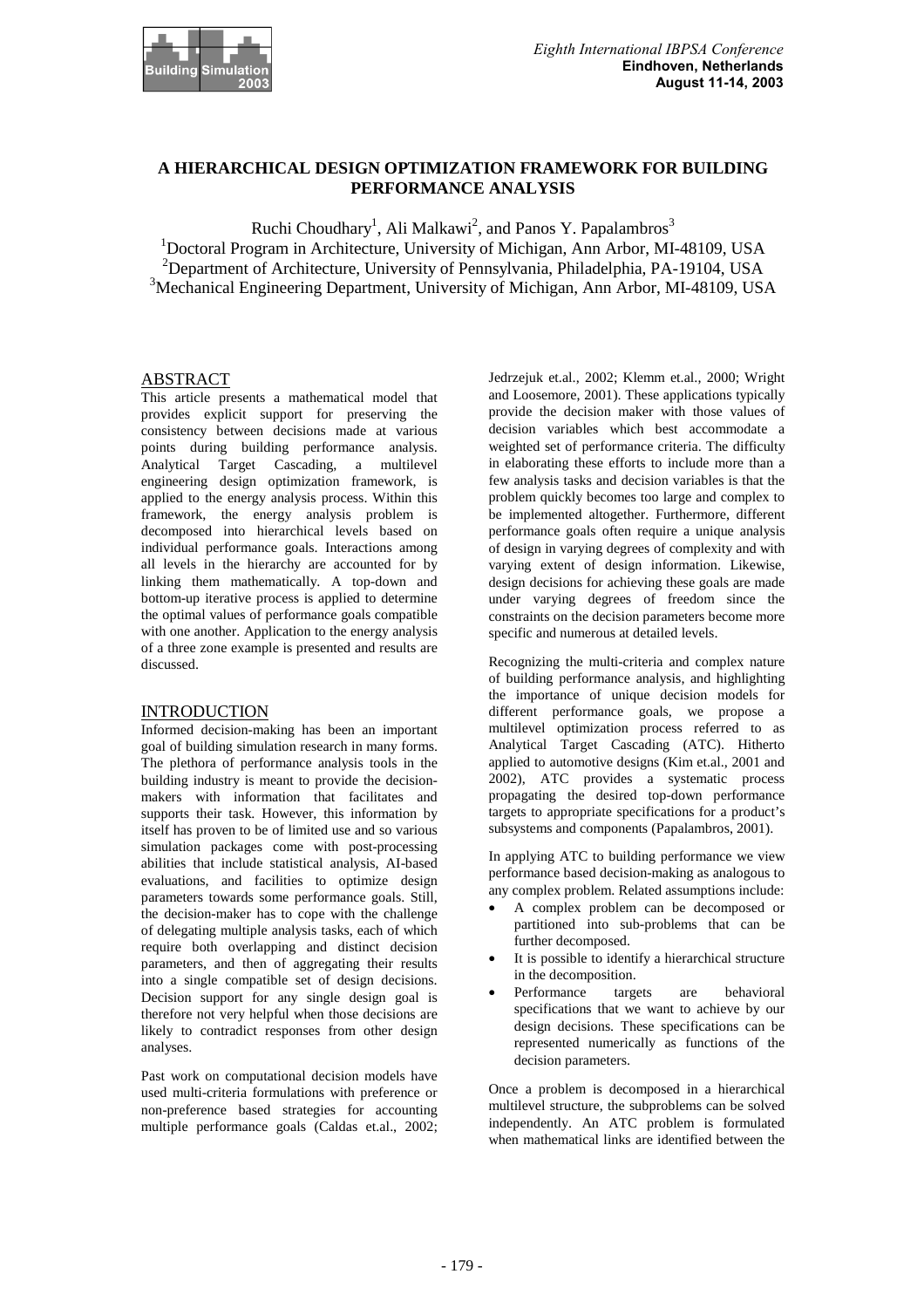

# **A HIERARCHICAL DESIGN OPTIMIZATION FRAMEWORK FOR BUILDING PERFORMANCE ANALYSIS**

Ruchi Choudhary<sup>1</sup>, Ali Malkawi<sup>2</sup>, and Panos Y. Papalambros<sup>3</sup>

<sup>1</sup>Doctoral Program in Architecture, University of Michigan, Ann Arbor, MI-48109, USA <sup>2</sup>Department of Architecture, University of Pennsylvania, Philadelphia, PA-19104, USA <sup>3</sup>Mechanical Engineering Department, University of Michigan, Ann Arbor, MI-48109, USA

# **ABSTRACT**

This article presents a mathematical model that provides explicit support for preserving the consistency between decisions made at various points during building performance analysis. Analytical Target Cascading, a multilevel engineering design optimization framework, is applied to the energy analysis process. Within this framework, the energy analysis problem is decomposed into hierarchical levels based on individual performance goals. Interactions among all levels in the hierarchy are accounted for by linking them mathematically. A top-down and bottom-up iterative process is applied to determine the optimal values of performance goals compatible with one another. Application to the energy analysis of a three zone example is presented and results are discussed.

## **INTRODUCTION**

Informed decision-making has been an important goal of building simulation research in many forms. The plethora of performance analysis tools in the building industry is meant to provide the decisionmakers with information that facilitates and supports their task. However, this information by itself has proven to be of limited use and so various simulation packages come with post-processing abilities that include statistical analysis, AI-based evaluations, and facilities to optimize design parameters towards some performance goals. Still, the decision-maker has to cope with the challenge of delegating multiple analysis tasks, each of which require both overlapping and distinct decision parameters, and then of aggregating their results into a single compatible set of design decisions. Decision support for any single design goal is therefore not very helpful when those decisions are likely to contradict responses from other design analyses.

Past work on computational decision models have used multi-criteria formulations with preference or non-preference based strategies for accounting multiple performance goals (Caldas et.al., 2002;

Jedrzejuk et.al., 2002; Klemm et.al., 2000; Wright and Loosemore, 2001). These applications typically provide the decision maker with those values of decision variables which best accommodate a weighted set of performance criteria. The difficulty in elaborating these efforts to include more than a few analysis tasks and decision variables is that the problem quickly becomes too large and complex to be implemented altogether. Furthermore, different performance goals often require a unique analysis of design in varying degrees of complexity and with varying extent of design information. Likewise, design decisions for achieving these goals are made under varying degrees of freedom since the constraints on the decision parameters become more specific and numerous at detailed levels.

Recognizing the multi-criteria and complex nature of building performance analysis, and highlighting the importance of unique decision models for different performance goals, we propose a multilevel optimization process referred to as Analytical Target Cascading (ATC). Hitherto applied to automotive designs (Kim et.al., 2001 and 2002), ATC provides a systematic process propagating the desired top-down performance targets to appropriate specifications for a product's subsystems and components (Papalambros, 2001).

In applying ATC to building performance we view performance based decision-making as analogous to any complex problem. Related assumptions include:

- A complex problem can be decomposed or partitioned into sub-problems that can be further decomposed.
- It is possible to identify a hierarchical structure in the decomposition.
- Performance targets are behavioral specifications that we want to achieve by our design decisions. These specifications can be represented numerically as functions of the decision parameters.

Once a problem is decomposed in a hierarchical multilevel structure, the subproblems can be solved independently. An ATC problem is formulated when mathematical links are identified between the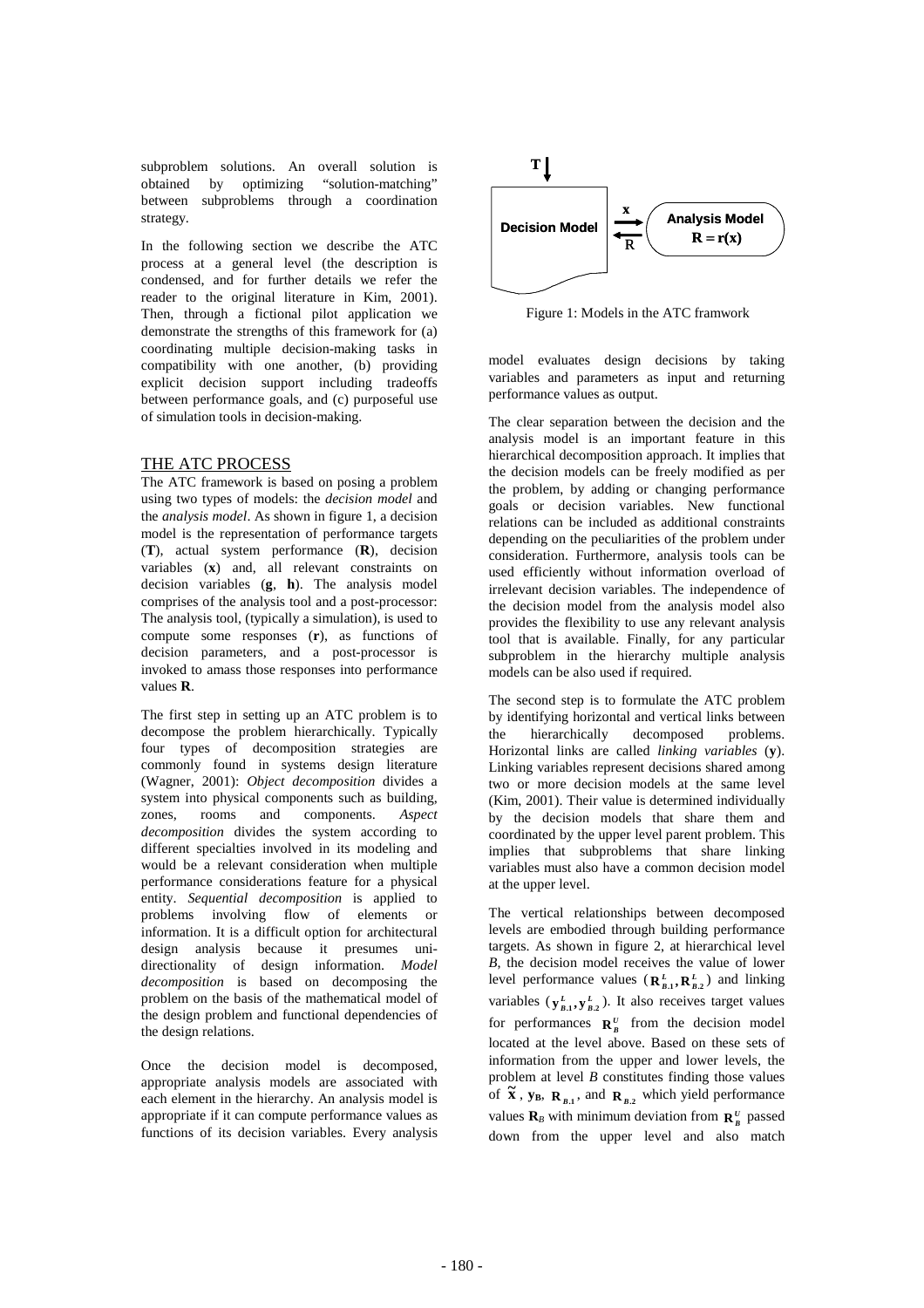subproblem solutions. An overall solution is obtained by optimizing "solution-matching" between subproblems through a coordination strategy.

In the following section we describe the ATC process at a general level (the description is condensed, and for further details we refer the reader to the original literature in Kim, 2001). Then, through a fictional pilot application we demonstrate the strengths of this framework for (a) coordinating multiple decision-making tasks in compatibility with one another, (b) providing explicit decision support including tradeoffs between performance goals, and (c) purposeful use of simulation tools in decision-making.

## THE ATC PROCESS

The ATC framework is based on posing a problem using two types of models: the *decision model* and the *analysis model*. As shown in figure 1, a decision model is the representation of performance targets (**T**), actual system performance (**R**), decision variables (**x**) and, all relevant constraints on decision variables (**g**, **h**). The analysis model comprises of the analysis tool and a post-processor: The analysis tool, (typically a simulation), is used to compute some responses (**r**), as functions of decision parameters, and a post-processor is invoked to amass those responses into performance values **R**.

The first step in setting up an ATC problem is to decompose the problem hierarchically. Typically four types of decomposition strategies are commonly found in systems design literature (Wagner, 2001): *Object decomposition* divides a system into physical components such as building, zones, rooms and components. *Aspect decomposition* divides the system according to different specialties involved in its modeling and would be a relevant consideration when multiple performance considerations feature for a physical entity. *Sequential decomposition* is applied to problems involving flow of elements or information. It is a difficult option for architectural design analysis because it presumes unidirectionality of design information. *Model decomposition* is based on decomposing the problem on the basis of the mathematical model of the design problem and functional dependencies of the design relations.

Once the decision model is decomposed, appropriate analysis models are associated with each element in the hierarchy. An analysis model is appropriate if it can compute performance values as functions of its decision variables. Every analysis



Figure 1: Models in the ATC framwork

model evaluates design decisions by taking variables and parameters as input and returning performance values as output.

The clear separation between the decision and the analysis model is an important feature in this hierarchical decomposition approach. It implies that the decision models can be freely modified as per the problem, by adding or changing performance goals or decision variables. New functional relations can be included as additional constraints depending on the peculiarities of the problem under consideration. Furthermore, analysis tools can be used efficiently without information overload of irrelevant decision variables. The independence of the decision model from the analysis model also provides the flexibility to use any relevant analysis tool that is available. Finally, for any particular subproblem in the hierarchy multiple analysis models can be also used if required.

The second step is to formulate the ATC problem by identifying horizontal and vertical links between the hierarchically decomposed problems. Horizontal links are called *linking variables* (**y**). Linking variables represent decisions shared among two or more decision models at the same level (Kim, 2001). Their value is determined individually by the decision models that share them and coordinated by the upper level parent problem. This implies that subproblems that share linking variables must also have a common decision model at the upper level.

The vertical relationships between decomposed levels are embodied through building performance targets. As shown in figure 2, at hierarchical level *B*, the decision model receives the value of lower level performance values  $(R_{B,1}^L, R_{B,2}^L)$  and linking variables  $(\mathbf{y}_{B,1}^L, \mathbf{y}_{B,2}^L)$ . It also receives target values for performances  $\mathbf{R}_{B}^{U}$  from the decision model located at the level above. Based on these sets of information from the upper and lower levels, the problem at level *B* constitutes finding those values of  $\tilde{\mathbf{x}}$ ,  $\mathbf{y_B}$ ,  $\mathbf{R}_{B.1}$ , and  $\mathbf{R}_{B.2}$  which yield performance values  $\mathbf{R}_B$  with minimum deviation from  $\mathbf{R}_B^U$  passed down from the upper level and also match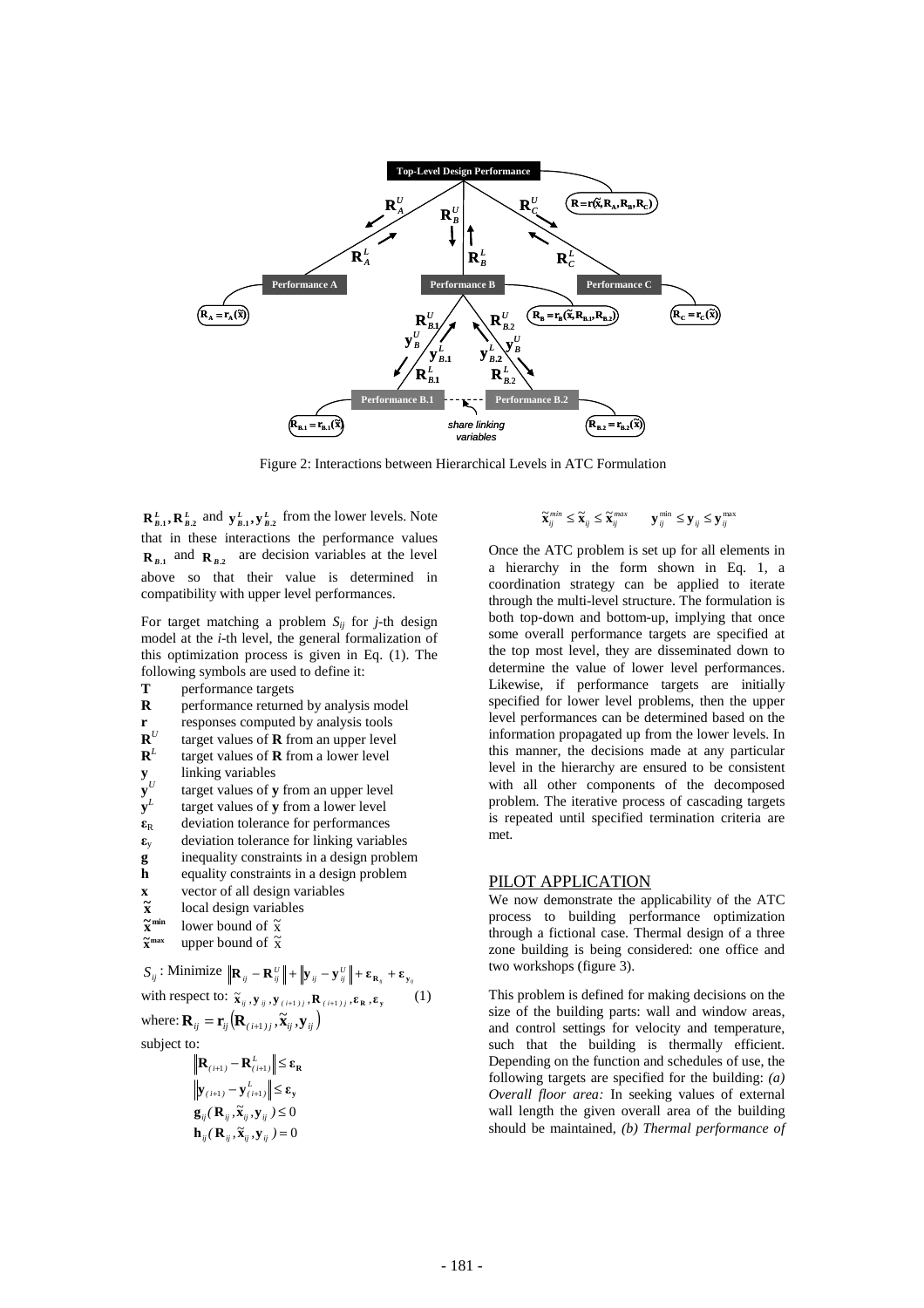

Figure 2: Interactions between Hierarchical Levels in ATC Formulation

 $\mathbf{R}_{B,1}^L$ ,  $\mathbf{R}_{B,2}^L$  and  $\mathbf{y}_{B,1}^L$ ,  $\mathbf{y}_{B,2}^L$  from the lower levels. Note that in these interactions the performance values  $\mathbf{R}_{B1}$  and  $\mathbf{R}_{B2}$  are decision variables at the level above so that their value is determined in compatibility with upper level performances.

For target matching a problem  $S_{ii}$  for *j*-th design model at the *i*-th level, the general formalization of this optimization process is given in Eq. (1). The following symbols are used to define it:

**T** performance targets<br>**R** performance returne **R** performance returned by analysis model

- **r** responses computed by analysis tools<br> $\mathbf{R}^U$  target values of **R** from an unner level
- target values of **R** from an upper level
- $\mathbf{R}^L$ <br> $\mathbf{y}_U$ <br> $\mathbf{y}^U$ target values of **R** from a lower level
- **y** linking variables
- **y**<sup>*U*</sup> target values of **y** from an upper level target values of **y** from a lower level
- **y***<sup>L</sup>* target values of **y** from a lower level
- $\epsilon_R$  deviation tolerance for performances
- $\epsilon$ <sub>y</sub> deviation tolerance for linking variables
- **g** inequality constraints in a design problem<br>**h** equality constraints in a design problem
- **h** equality constraints in a design problem
- **x** vector of all design variables
- **x ~** local design variables
- **min x**  $\tilde{\mathbf{x}}^{\min}$  lower bound of  $\tilde{\mathbf{x}}$  $\tilde{\mathbf{v}}$

$$
\widetilde{\mathbf{x}}^{\text{max}} \quad \text{upper bound of } \widetilde{\mathbf{x}}
$$

$$
S_{ij}: \text{Minimize } ||\mathbf{R}_{ij} - \mathbf{R}_{ij}^U|| + ||\mathbf{y}_{ij} - \mathbf{y}_{ij}^U|| + \varepsilon_{\mathbf{R}_{ij}} + \varepsilon_{\mathbf{y}_{ij}}
$$
\nwith respect to:  $\tilde{\mathbf{x}}_{ij}, \mathbf{y}_{ij}, \mathbf{y}_{(i+1)j}, \mathbf{R}_{(i+1)j}, \varepsilon_{\mathbf{R}}, \varepsilon_{\mathbf{y}} \quad (1)$ \nwhere:  $\mathbf{R}_{ij} = \mathbf{r}_{ij} (\mathbf{R}_{(i+1)j}, \tilde{\mathbf{x}}_{ij}, \mathbf{y}_{ij})$   
\nsubject to: 
$$
||\mathbf{R}_{(i+1)} - \mathbf{R}_{(i+1)u}^U|| \leq \varepsilon_{\mathbf{R}}
$$

$$
\begin{aligned} & \left\| \mathbf{y}_{(i+1)} - \mathbf{y}_{(i+1)}^L \right\| \leq \varepsilon_{\mathbf{y}} \\ & \mathbf{g}_{ij}(\mathbf{R}_{ij}, \widetilde{\mathbf{x}}_{ij}, \mathbf{y}_{ij}) \leq 0 \\ & \mathbf{h}_{ij}(\mathbf{R}_{ij}, \widetilde{\mathbf{x}}_{ij}, \mathbf{y}_{ij}) = 0 \end{aligned}
$$

$$
\widetilde{\mathbf{X}}_{ij}^{min} \leq \widetilde{\mathbf{X}}_{ij} \leq \widetilde{\mathbf{X}}_{ij}^{max} \qquad \mathbf{y}_{ij}^{min} \leq \mathbf{y}_{ij} \leq \mathbf{y}_{ij}^{max}
$$

Once the ATC problem is set up for all elements in a hierarchy in the form shown in Eq. 1, a coordination strategy can be applied to iterate through the multi-level structure. The formulation is both top-down and bottom-up, implying that once some overall performance targets are specified at the top most level, they are disseminated down to determine the value of lower level performances. Likewise, if performance targets are initially specified for lower level problems, then the upper level performances can be determined based on the information propagated up from the lower levels. In this manner, the decisions made at any particular level in the hierarchy are ensured to be consistent with all other components of the decomposed problem. The iterative process of cascading targets is repeated until specified termination criteria are met.

# PILOT APPLICATION

We now demonstrate the applicability of the ATC process to building performance optimization through a fictional case. Thermal design of a three zone building is being considered: one office and two workshops (figure 3).

This problem is defined for making decisions on the size of the building parts: wall and window areas, and control settings for velocity and temperature, such that the building is thermally efficient. Depending on the function and schedules of use, the following targets are specified for the building: *(a) Overall floor area:* In seeking values of external wall length the given overall area of the building should be maintained, *(b) Thermal performance of*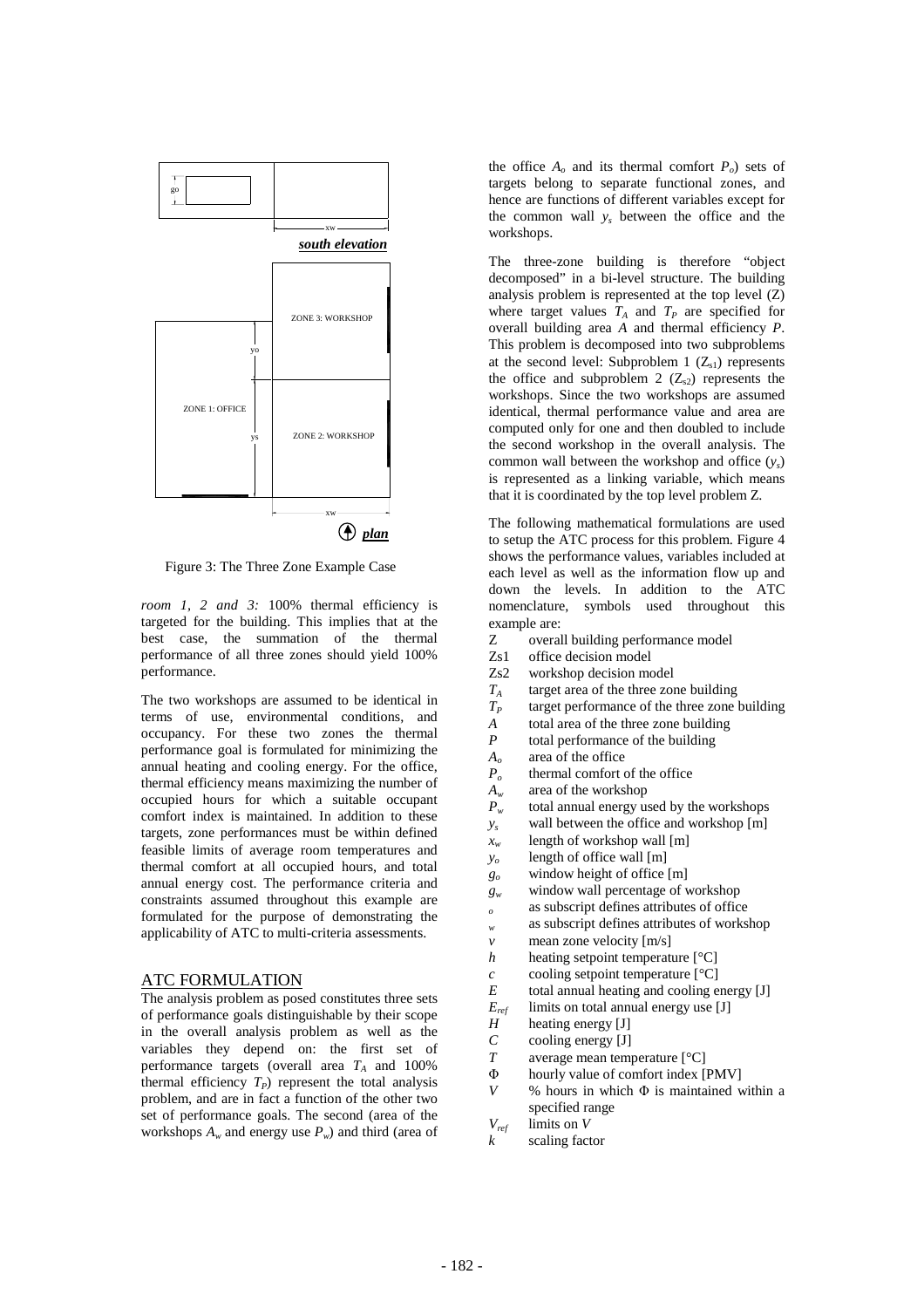

Figure 3: The Three Zone Example Case

*room 1, 2 and 3:* 100% thermal efficiency is targeted for the building. This implies that at the best case, the summation of the thermal performance of all three zones should yield 100% performance.

The two workshops are assumed to be identical in terms of use, environmental conditions, and occupancy. For these two zones the thermal performance goal is formulated for minimizing the annual heating and cooling energy. For the office, thermal efficiency means maximizing the number of occupied hours for which a suitable occupant comfort index is maintained. In addition to these targets, zone performances must be within defined feasible limits of average room temperatures and thermal comfort at all occupied hours, and total annual energy cost. The performance criteria and constraints assumed throughout this example are formulated for the purpose of demonstrating the applicability of ATC to multi-criteria assessments.

## ATC FORMULATION

The analysis problem as posed constitutes three sets of performance goals distinguishable by their scope in the overall analysis problem as well as the variables they depend on: the first set of performance targets (overall area  $T_A$  and 100% thermal efficiency  $T_P$ ) represent the total analysis problem, and are in fact a function of the other two set of performance goals. The second (area of the workshops  $A_w$  and energy use  $P_w$ ) and third (area of

the office  $A_0$  and its thermal comfort  $P_0$ ) sets of targets belong to separate functional zones, and hence are functions of different variables except for the common wall *ys* between the office and the workshops.

The three-zone building is therefore "object decomposed" in a bi-level structure. The building analysis problem is represented at the top level (Z) where target values  $T_A$  and  $T_P$  are specified for overall building area *A* and thermal efficiency *P*. This problem is decomposed into two subproblems at the second level: Subproblem 1  $(Z_{s1})$  represents the office and subproblem 2  $(Z_{s2})$  represents the workshops. Since the two workshops are assumed identical, thermal performance value and area are computed only for one and then doubled to include the second workshop in the overall analysis. The common wall between the workshop and office (*ys*) is represented as a linking variable, which means that it is coordinated by the top level problem Z.

The following mathematical formulations are used to setup the ATC process for this problem. Figure 4 shows the performance values, variables included at each level as well as the information flow up and down the levels. In addition to the ATC nomenclature, symbols used throughout this example are:

- Z overall building performance model<br>
Zs1 office decision model
- Zs1 office decision model<br>Zs2 workshop decision mo
- Zs2 workshop decision model<br> $T_A$  target area of the three zor
- $T_A$  target area of the three zone building<br> $T_P$  target performance of the three zone building
- *T<sub>P</sub>* target performance of the three zone building<br>*A* total area of the three zone building
- *A* total area of the three zone building<br>*P* total performance of the building
- total performance of the building
- $A_o$  area of the office<br> $P_o$  thermal comfort of
- thermal comfort of the office
- $A_w$  area of the workshop<br> $P_w$  total annual energy us
- total annual energy used by the workshops
- *ys* wall between the office and workshop [m]
- *xw* length of workshop wall [m]
- *yo* length of office wall [m]
- *go* window height of office [m]
- *gw* window wall percentage of workshop
- *<sup>o</sup>* as subscript defines attributes of office
- *<sup>w</sup>* as subscript defines attributes of workshop
- *v* mean zone velocity [m/s]
- *h* heating setpoint temperature [°C]
- *c* cooling setpoint temperature  $[°C]$
- *E* total annual heating and cooling energy [J]
- *Eref* limits on total annual energy use [J]
- *H* heating energy [J]<br>*C* cooling energy [J]
- *C* cooling energy [J]<br>*T* average mean tem
- average mean temperature  $[°C]$
- $\Phi$  hourly value of comfort index [PMV]
- $V$  % hours in which  $\Phi$  is maintained within a specified range
- *Vref* limits on *V*
- *k* scaling factor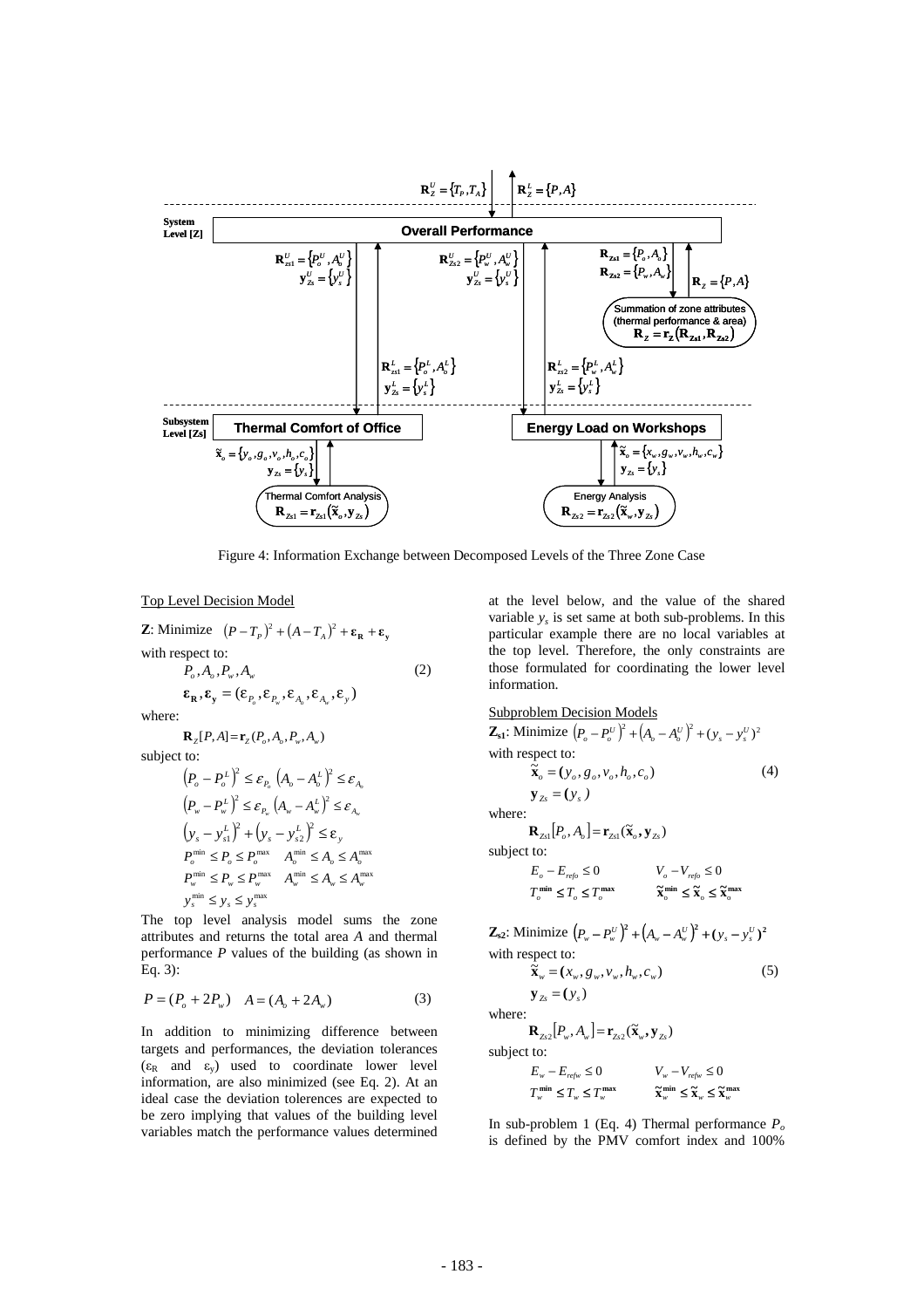

Figure 4: Information Exchange between Decomposed Levels of the Three Zone Case

#### Top Level Decision Model

**Z**: Minimize  $(P - T_p)^2 + (A - T_a)^2 + \epsilon_p + \epsilon_p$ with respect to:  $P_{\rho}$ ,  $A_{\rho}$ ,  $P_{w}$ ,  $A_{w}$  (2)  $\boldsymbol{\epsilon}_{\mathbf{R}}, \boldsymbol{\epsilon}_{\mathbf{v}} = (\boldsymbol{\epsilon}_{P_{\rm c}}, \boldsymbol{\epsilon}_{P_{\rm w}}, \boldsymbol{\epsilon}_{A_{\rm w}}, \boldsymbol{\epsilon}_{A_{\rm w}}, \boldsymbol{\epsilon}_{\mathbf{v}})$ where:  ${\bf R}_z[P,A] = {\bf r}_z(P_o, A_o, P_w, A_w)$ subject to:

$$
\begin{aligned} &\left(P_o-P_o^L\right)^2\leq \varepsilon_{P_o}\left(A_o-A_o^L\right)^2\leq \varepsilon_{A_o}\\ &\left(P_w-P_w^L\right)^2\leq \varepsilon_{P_w}\left(A_w-A_w^L\right)^2\leq \varepsilon_{A_w}\\ &\left(y_s-y_{s1}^L\right)^2+\left(y_s-y_{s2}^L\right)^2\leq \varepsilon_{y}\\ &P_o^{\min}\leq P_o\leq P_o^{\max}\quad A_o^{\min}\leq A_o\leq A_o^{\max}\\ &P_w^{\min}\leq P_w\leq P_w^{\max}\quad A_w^{\min}\leq A_w\leq A_w^{\max}\\ &y_s^{\min}\leq y_s\leq y_s^{\max}\end{aligned}
$$

The top level analysis model sums the zone attributes and returns the total area *A* and thermal performance *P* values of the building (as shown in Eq. 3):

$$
P = (P_o + 2P_w) \quad A = (A_o + 2A_w)
$$
 (3)

In addition to minimizing difference between targets and performances, the deviation tolerances  $(\varepsilon_R$  and  $\varepsilon_v)$  used to coordinate lower level information, are also minimized (see Eq. 2). At an ideal case the deviation tolerences are expected to be zero implying that values of the building level variables match the performance values determined

at the level below, and the value of the shared variable  $y_s$  is set same at both sub-problems. In this particular example there are no local variables at the top level. Therefore, the only constraints are those formulated for coordinating the lower level information.

Subproblem Decision Models  
\n**Z**<sub>s1</sub>: Minimize 
$$
(P_o - P_o^U)^2 + (A_o - A_o^U)^2 + (y_s - y_s^U)^2
$$
  
\nwith respect to:  
\n $\tilde{\mathbf{x}}_o = (y_o, g_o, v_o, h_o, c_o)$  (4)  
\n $\mathbf{y}_{Zs} = (y_s)$   
\nwhere:  
\n $\mathbf{R}_{Zs} [P_o, A_o] = \mathbf{r}_{Zs1}(\tilde{\mathbf{x}}_o, \mathbf{y}_{Zs})$ 

subject to:

 $\mathbf{w}$ 

$$
\begin{aligned} & E_o - E_{\text{refo}} \leq 0 & & V_o - V_{\text{refo}} \leq 0 \\ & T_o^{\text{min}} \leq T_o \leq T_o^{\text{max}} & & \widetilde{\mathbf{x}}_o^{\text{min}} \leq \widetilde{\mathbf{x}}_o \leq \widetilde{\mathbf{x}}_o^{\text{max}} \end{aligned}
$$

**Z**<sub>s2</sub>: Minimize  $(P_w - P_w^U)^2 + (A_w - A_w^U)^2 + (y_s - y_s^U)^2$ with respect to:

 $\tilde{\mathbf{x}}_w = (x_w, g_w, v_w, h_w, c_w)$ (5)

 $y_{z_s} = (y_s)$ where:

 $[\mathbf{R}_{z_{s2}}[P_{w}, A_{w}] = \mathbf{r}_{z_{s2}}(\widetilde{\mathbf{x}}_{w}, \mathbf{y}_{z_{s}})]$ 

subject to:

$$
\begin{aligned} E_{\mathbf{w}} - E_{\mathbf{r}\mathbf{r}\mathbf{w}} &\leq 0 & & V_{\mathbf{w}} - V_{\mathbf{r}\mathbf{r}\mathbf{w}} &\leq 0 \\ T_{\mathbf{w}}^{\min} &\leq T_{\mathbf{w}} &\leq T_{\mathbf{w}}^{\max} & & \widetilde{\mathbf{x}}_{\mathbf{w}}^{\min} &\leq \widetilde{\mathbf{x}}_{\mathbf{w}} &\leq \widetilde{\mathbf{x}}_{\mathbf{w}} \end{aligned}
$$

In sub-problem 1 (Eq. 4) Thermal performance  $P_o$ is defined by the PMV comfort index and 100%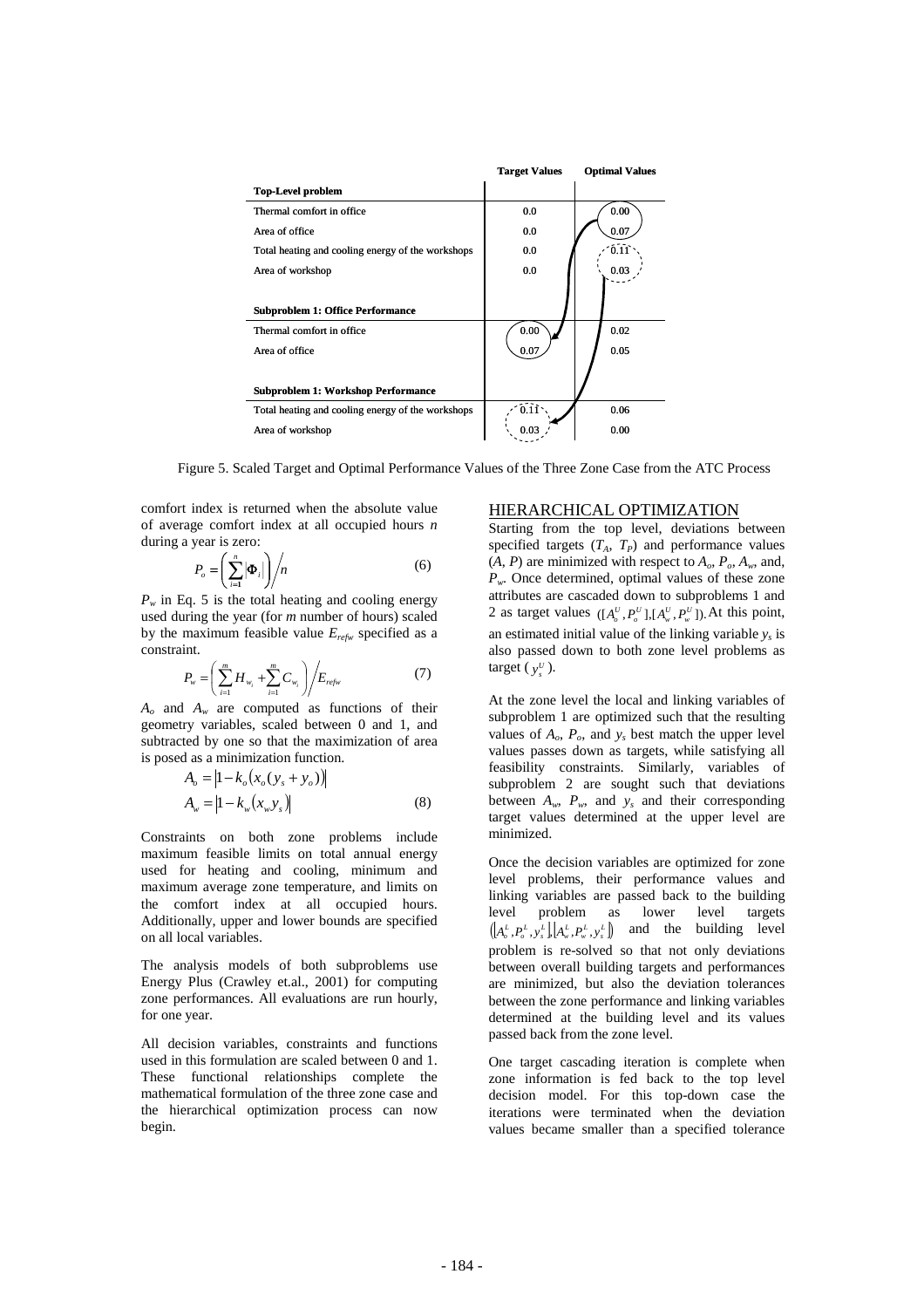

Figure 5. Scaled Target and Optimal Performance Values of the Three Zone Case from the ATC Process

comfort index is returned when the absolute value of average comfort index at all occupied hours *n* during a year is zero:

$$
P_o = \left(\sum_{i=1}^n |\boldsymbol{\Phi}_i|\right) / n \tag{6}
$$

 $P_w$  in Eq. 5 is the total heating and cooling energy used during the year (for *m* number of hours) scaled by the maximum feasible value *Erefw* specified as a constraint.

$$
P_{w} = \left(\sum_{i=1}^{m} H_{w_i} + \sum_{i=1}^{m} C_{w_i}\right) / E_{refw}
$$
 (7)

*Ao* and *Aw* are computed as functions of their geometry variables, scaled between 0 and 1, and subtracted by one so that the maximization of area is posed as a minimization function.

$$
A_o = |1 - k_o(x_o(y_s + y_o))|
$$
  
\n
$$
A_w = |1 - k_w(x_w y_s)|
$$
\n(8)

Constraints on both zone problems include maximum feasible limits on total annual energy used for heating and cooling, minimum and maximum average zone temperature, and limits on the comfort index at all occupied hours. Additionally, upper and lower bounds are specified on all local variables.

The analysis models of both subproblems use Energy Plus (Crawley et.al., 2001) for computing zone performances. All evaluations are run hourly, for one year.

All decision variables, constraints and functions used in this formulation are scaled between 0 and 1. These functional relationships complete the mathematical formulation of the three zone case and the hierarchical optimization process can now begin.

## HIERARCHICAL OPTIMIZATION

Starting from the top level, deviations between specified targets  $(T_A, T_P)$  and performance values  $(A, P)$  are minimized with respect to  $A_o$ ,  $P_o$ ,  $A_w$ , and, *Pw*. Once determined, optimal values of these zone attributes are cascaded down to subproblems 1 and 2 as target values  $([A_o^U, P_o^U], [A_w^U, P_w^U])$ . At this point, an estimated initial value of the linking variable  $y_s$  is also passed down to both zone level problems as target ( $y_s^U$ ).

At the zone level the local and linking variables of subproblem 1 are optimized such that the resulting values of  $A_o$ ,  $P_o$ , and  $y_s$  best match the upper level values passes down as targets, while satisfying all feasibility constraints. Similarly, variables of subproblem 2 are sought such that deviations between  $A_w$ ,  $P_w$ , and  $y_s$  and their corresponding target values determined at the upper level are minimized.

Once the decision variables are optimized for zone level problems, their performance values and linking variables are passed back to the building level problem as lower level targets  $([A_o^L, P_o^L, y_s^L], [A_w^L, P_w^L, y_s^L])$  and the building level problem is re-solved so that not only deviations between overall building targets and performances are minimized, but also the deviation tolerances between the zone performance and linking variables determined at the building level and its values passed back from the zone level.

One target cascading iteration is complete when zone information is fed back to the top level decision model. For this top-down case the iterations were terminated when the deviation values became smaller than a specified tolerance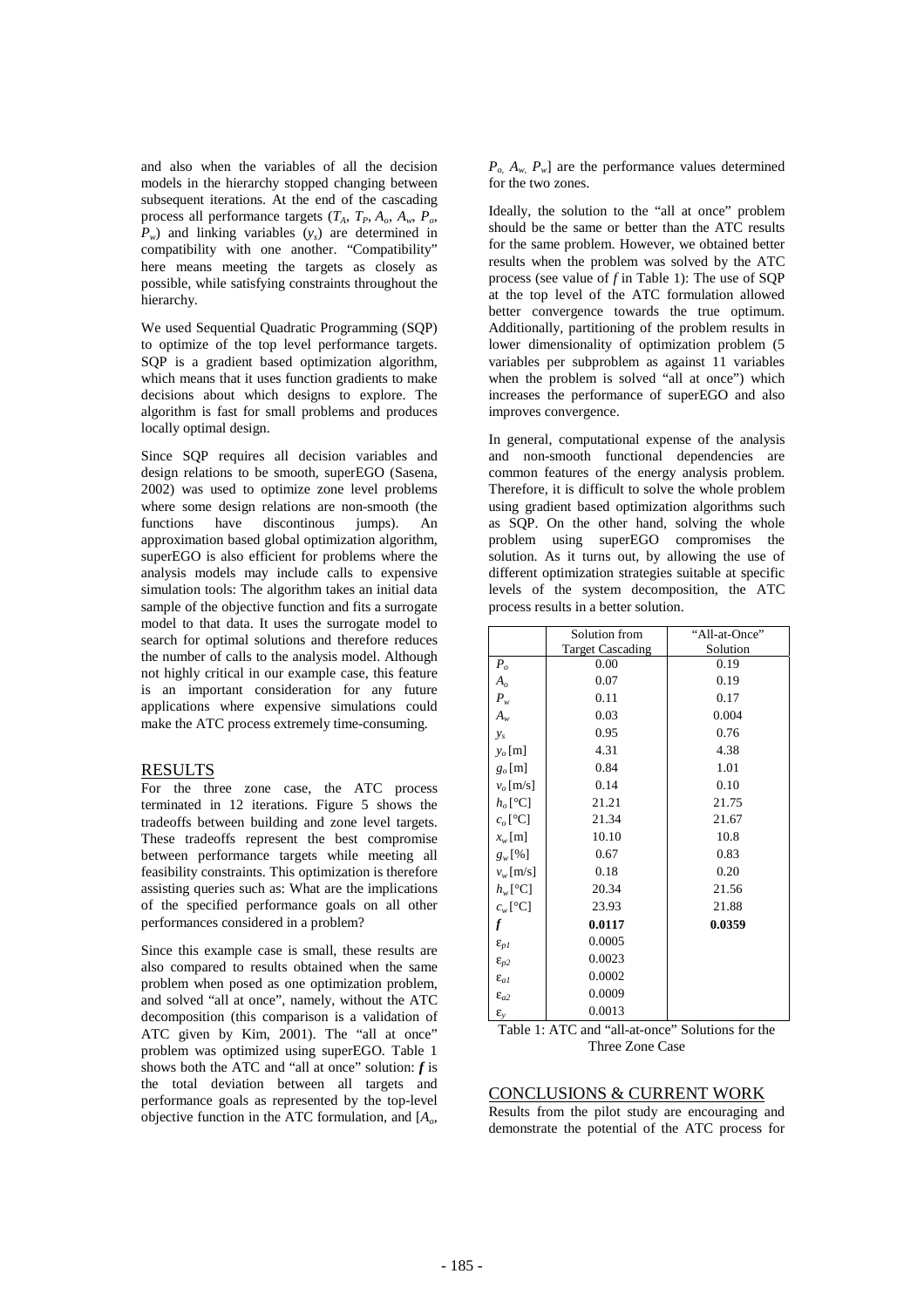and also when the variables of all the decision models in the hierarchy stopped changing between subsequent iterations. At the end of the cascading process all performance targets  $(T_A, T_P, A_o, A_w, P_o)$  $P_w$ ) and linking variables  $(y_s)$  are determined in compatibility with one another. "Compatibility" here means meeting the targets as closely as possible, while satisfying constraints throughout the hierarchy.

We used Sequential Quadratic Programming (SQP) to optimize of the top level performance targets. SQP is a gradient based optimization algorithm, which means that it uses function gradients to make decisions about which designs to explore. The algorithm is fast for small problems and produces locally optimal design.

Since SQP requires all decision variables and design relations to be smooth, superEGO (Sasena, 2002) was used to optimize zone level problems where some design relations are non-smooth (the functions have discontinous jumps). An approximation based global optimization algorithm, superEGO is also efficient for problems where the analysis models may include calls to expensive simulation tools: The algorithm takes an initial data sample of the objective function and fits a surrogate model to that data. It uses the surrogate model to search for optimal solutions and therefore reduces the number of calls to the analysis model. Although not highly critical in our example case, this feature is an important consideration for any future applications where expensive simulations could make the ATC process extremely time-consuming.

## RESULTS

For the three zone case, the ATC process terminated in 12 iterations. Figure 5 shows the tradeoffs between building and zone level targets. These tradeoffs represent the best compromise between performance targets while meeting all feasibility constraints. This optimization is therefore assisting queries such as: What are the implications of the specified performance goals on all other performances considered in a problem?

Since this example case is small, these results are also compared to results obtained when the same problem when posed as one optimization problem, and solved "all at once", namely, without the ATC decomposition (this comparison is a validation of ATC given by Kim, 2001). The "all at once" problem was optimized using superEGO. Table 1 shows both the ATC and "all at once" solution:  $f$  is the total deviation between all targets and performance goals as represented by the top-level objective function in the ATC formulation, and [*Ao*,

 $P_{o}$ ,  $A_{w}$ ,  $P_{w}$  are the performance values determined for the two zones.

Ideally, the solution to the "all at once" problem should be the same or better than the ATC results for the same problem. However, we obtained better results when the problem was solved by the ATC process (see value of *f* in Table 1): The use of SQP at the top level of the ATC formulation allowed better convergence towards the true optimum. Additionally, partitioning of the problem results in lower dimensionality of optimization problem (5 variables per subproblem as against 11 variables when the problem is solved "all at once") which increases the performance of superEGO and also improves convergence.

In general, computational expense of the analysis and non-smooth functional dependencies are common features of the energy analysis problem. Therefore, it is difficult to solve the whole problem using gradient based optimization algorithms such as SQP. On the other hand, solving the whole problem using superEGO compromises the solution. As it turns out, by allowing the use of different optimization strategies suitable at specific levels of the system decomposition, the ATC process results in a better solution.

|                          | Solution from           | "All-at-Once" |
|--------------------------|-------------------------|---------------|
|                          | <b>Target Cascading</b> | Solution      |
| $P_o$                    | 0.00                    | 0.19          |
| A <sub>o</sub>           | 0.07                    | 0.19          |
| $P_{w}$                  | 0.11                    | 0.17          |
| $A_w$                    | 0.03                    | 0.004         |
| $y_{s}$                  | 0.95                    | 0.76          |
| $y_o$ [m]                | 4.31                    | 4.38          |
| $g_o$ [m]                | 0.84                    | 1.01          |
| $v_o$ [m/s]              | 0.14                    | 0.10          |
| $h_o[^{\circ}C]$         | 21.21                   | 21.75         |
| $c_o$ [°C]               | 21.34                   | 21.67         |
| $x_w$ [m]                | 10.10                   | 10.8          |
| $g_w$ [%]                | 0.67                    | 0.83          |
| $v_w$ [m/s]              | 0.18                    | 0.20          |
| $h_w[^{\circ}C]$         | 20.34                   | 21.56         |
| $c_w[^{\circ}C]$         | 23.93                   | 21.88         |
| $\boldsymbol{f}$         | 0.0117                  | 0.0359        |
| $\pmb{\varepsilon}_{pI}$ | 0.0005                  |               |
| $\varepsilon_{p2}$       | 0.0023                  |               |
| $\epsilon_{aI}$          | 0.0002                  |               |
| $\epsilon_{a2}$          | 0.0009                  |               |
| $\epsilon_{v}$           | 0.0013                  |               |

Table 1: ATC and "all-at-once" Solutions for the Three Zone Case

## CONCLUSIONS & CURRENT WORK

Results from the pilot study are encouraging and demonstrate the potential of the ATC process for